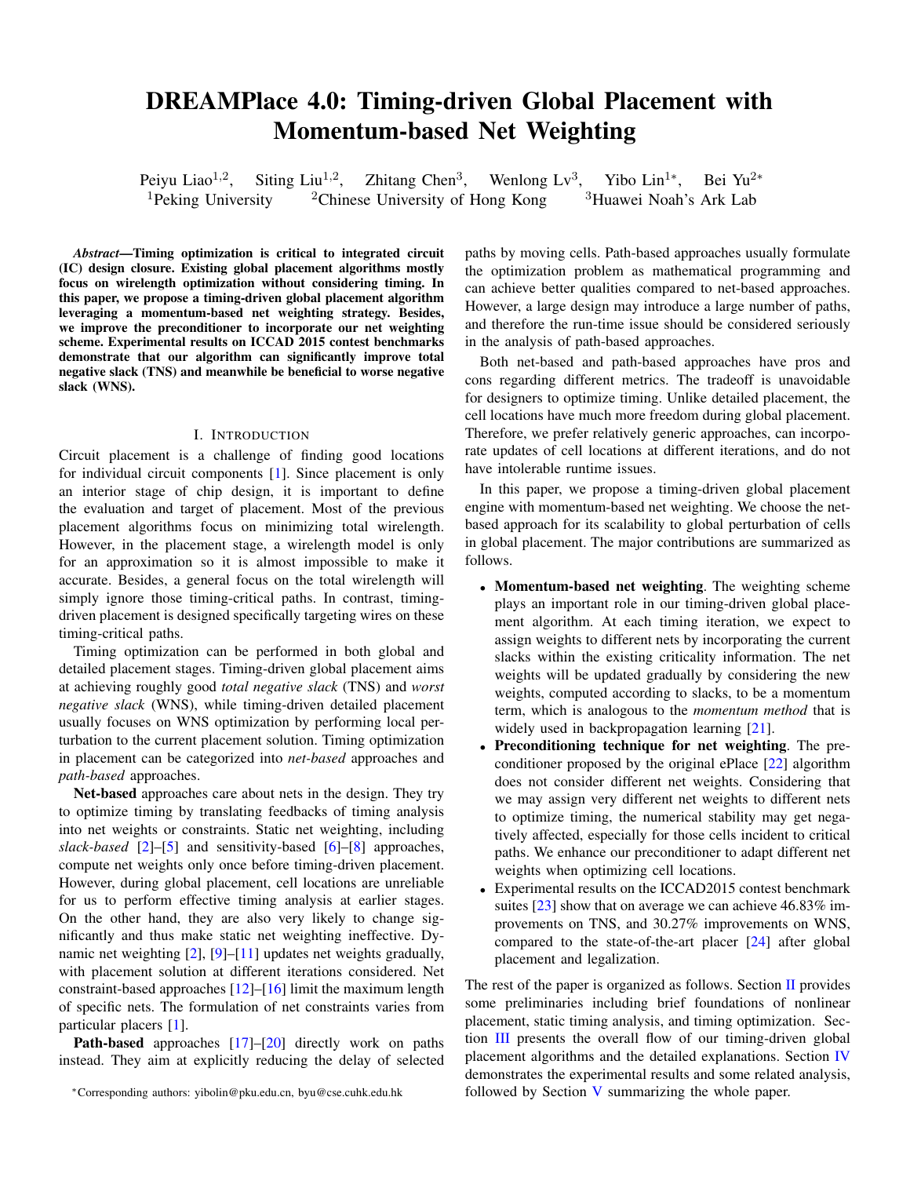# DREAMPlace 4.0: Timing-driven Global Placement with Momentum-based Net Weighting

Peiyu Liao<sup> $1,2$ </sup>, , Siting Liu<sup>1,2</sup>, Zhitang Chen<sup>3</sup>, Wenlong Lv<sup>3</sup>, Yibo Lin<sup>1</sup>\*, Bei Yu<sup>2</sup>\* <sup>1</sup>Peking University <sup>2</sup>Chinese University of Hong Kong <sup>3</sup>Huawei Noah's Ark Lab

*Abstract*—Timing optimization is critical to integrated circuit (IC) design closure. Existing global placement algorithms mostly focus on wirelength optimization without considering timing. In this paper, we propose a timing-driven global placement algorithm leveraging a momentum-based net weighting strategy. Besides, we improve the preconditioner to incorporate our net weighting scheme. Experimental results on ICCAD 2015 contest benchmarks demonstrate that our algorithm can significantly improve total negative slack (TNS) and meanwhile be beneficial to worse negative slack (WNS).

## I. INTRODUCTION

Circuit placement is a challenge of finding good locations for individual circuit components [\[1\]](#page-5-0). Since placement is only an interior stage of chip design, it is important to define the evaluation and target of placement. Most of the previous placement algorithms focus on minimizing total wirelength. However, in the placement stage, a wirelength model is only for an approximation so it is almost impossible to make it accurate. Besides, a general focus on the total wirelength will simply ignore those timing-critical paths. In contrast, timingdriven placement is designed specifically targeting wires on these timing-critical paths.

Timing optimization can be performed in both global and detailed placement stages. Timing-driven global placement aims at achieving roughly good *total negative slack* (TNS) and *worst negative slack* (WNS), while timing-driven detailed placement usually focuses on WNS optimization by performing local perturbation to the current placement solution. Timing optimization in placement can be categorized into *net-based* approaches and *path-based* approaches.

Net-based approaches care about nets in the design. They try to optimize timing by translating feedbacks of timing analysis into net weights or constraints. Static net weighting, including *slack-based* [\[2\]](#page-5-1)–[\[5\]](#page-5-2) and sensitivity-based [\[6\]](#page-5-3)–[\[8\]](#page-5-4) approaches, compute net weights only once before timing-driven placement. However, during global placement, cell locations are unreliable for us to perform effective timing analysis at earlier stages. On the other hand, they are also very likely to change significantly and thus make static net weighting ineffective. Dynamic net weighting [\[2\]](#page-5-1), [\[9\]](#page-5-5)–[\[11\]](#page-5-6) updates net weights gradually, with placement solution at different iterations considered. Net constraint-based approaches [\[12\]](#page-5-7)–[\[16\]](#page-5-8) limit the maximum length of specific nets. The formulation of net constraints varies from particular placers [\[1\]](#page-5-0).

Path-based approaches [\[17\]](#page-5-9)–[\[20\]](#page-5-10) directly work on paths instead. They aim at explicitly reducing the delay of selected paths by moving cells. Path-based approaches usually formulate the optimization problem as mathematical programming and can achieve better qualities compared to net-based approaches. However, a large design may introduce a large number of paths, and therefore the run-time issue should be considered seriously in the analysis of path-based approaches.

Both net-based and path-based approaches have pros and cons regarding different metrics. The tradeoff is unavoidable for designers to optimize timing. Unlike detailed placement, the cell locations have much more freedom during global placement. Therefore, we prefer relatively generic approaches, can incorporate updates of cell locations at different iterations, and do not have intolerable runtime issues.

In this paper, we propose a timing-driven global placement engine with momentum-based net weighting. We choose the netbased approach for its scalability to global perturbation of cells in global placement. The major contributions are summarized as follows.

- Momentum-based net weighting. The weighting scheme plays an important role in our timing-driven global placement algorithm. At each timing iteration, we expect to assign weights to different nets by incorporating the current slacks within the existing criticality information. The net weights will be updated gradually by considering the new weights, computed according to slacks, to be a momentum term, which is analogous to the *momentum method* that is widely used in backpropagation learning [\[21\]](#page-5-11).
- Preconditioning technique for net weighting. The preconditioner proposed by the original ePlace [\[22\]](#page-5-12) algorithm does not consider different net weights. Considering that we may assign very different net weights to different nets to optimize timing, the numerical stability may get negatively affected, especially for those cells incident to critical paths. We enhance our preconditioner to adapt different net weights when optimizing cell locations.
- Experimental results on the ICCAD2015 contest benchmark suites [\[23\]](#page-5-13) show that on average we can achieve 46.83% improvements on TNS, and 30.27% improvements on WNS, compared to the state-of-the-art placer [\[24\]](#page-5-14) after global placement and legalization.

<span id="page-0-0"></span>The rest of the paper is organized as follows. Section [II](#page-0-0) provides some preliminaries including brief foundations of nonlinear placement, static timing analysis, and timing optimization. Section [III](#page-1-0) presents the overall flow of our timing-driven global placement algorithms and the detailed explanations. Section [IV](#page-3-0) demonstrates the experimental results and some related analysis, followed by Section [V](#page-5-15) summarizing the whole paper.

<sup>∗</sup>Corresponding authors: yibolin@pku.edu.cn, byu@cse.cuhk.edu.hk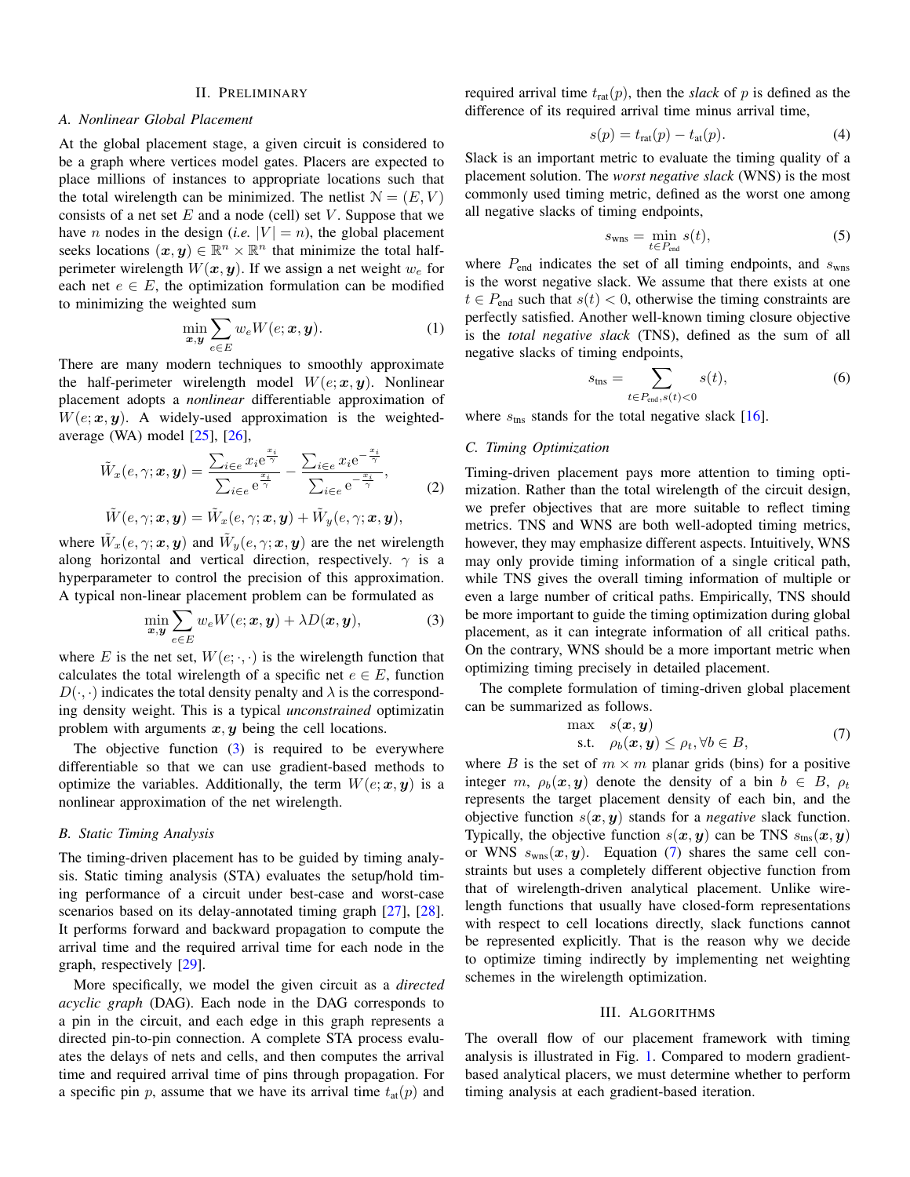## II. PRELIMINARY

## *A. Nonlinear Global Placement*

At the global placement stage, a given circuit is considered to be a graph where vertices model gates. Placers are expected to place millions of instances to appropriate locations such that the total wirelength can be minimized. The netlist  $N = (E, V)$ consists of a net set  $E$  and a node (cell) set  $V$ . Suppose that we have *n* nodes in the design (*i.e.*  $|V| = n$ ), the global placement seeks locations  $(x, y) \in \mathbb{R}^n \times \mathbb{R}^n$  that minimize the total halfperimeter wirelength  $W(x, y)$ . If we assign a net weight  $w_e$  for each net  $e \in E$ , the optimization formulation can be modified to minimizing the weighted sum

$$
\min_{\boldsymbol{x}, \boldsymbol{y}} \sum_{e \in E} w_e W(e; \boldsymbol{x}, \boldsymbol{y}). \tag{1}
$$

There are many modern techniques to smoothly approximate the half-perimeter wirelength model  $W(e; x, y)$ . Nonlinear placement adopts a *nonlinear* differentiable approximation of  $W(e; x, y)$ . A widely-used approximation is the weightedaverage (WA) model [\[25\]](#page-5-16), [\[26\]](#page-5-17),

$$
\tilde{W}_x(e, \gamma; \boldsymbol{x}, \boldsymbol{y}) = \frac{\sum_{i \in e} x_i e^{\frac{x_i}{\gamma}}}{\sum_{i \in e} e^{\frac{x_i}{\gamma}}} - \frac{\sum_{i \in e} x_i e^{-\frac{x_i}{\gamma}}}{\sum_{i \in e} e^{-\frac{x_i}{\gamma}}},
$$
\n
$$
\tilde{W}(e, \gamma; \boldsymbol{x}, \boldsymbol{y}) = \tilde{W}_x(e, \gamma; \boldsymbol{x}, \boldsymbol{y}) + \tilde{W}_y(e, \gamma; \boldsymbol{x}, \boldsymbol{y}),
$$
\n(2)

where  $\tilde{W}_x(e, \gamma; x, y)$  and  $\tilde{W}_y(e, \gamma; x, y)$  are the net wirelength along horizontal and vertical direction, respectively.  $\gamma$  is a hyperparameter to control the precision of this approximation. A typical non-linear placement problem can be formulated as

<span id="page-1-1"></span>
$$
\min_{\boldsymbol{x},\boldsymbol{y}} \sum_{e \in E} w_e W(e; \boldsymbol{x}, \boldsymbol{y}) + \lambda D(\boldsymbol{x}, \boldsymbol{y}), \tag{3}
$$

where E is the net set,  $W(e; \cdot, \cdot)$  is the wirelength function that calculates the total wirelength of a specific net  $e \in E$ , function  $D(\cdot, \cdot)$  indicates the total density penalty and  $\lambda$  is the corresponding density weight. This is a typical *unconstrained* optimizatin problem with arguments  $x, y$  being the cell locations.

The objective function  $(3)$  is required to be everywhere differentiable so that we can use gradient-based methods to optimize the variables. Additionally, the term  $W(e; x, y)$  is a nonlinear approximation of the net wirelength.

# *B. Static Timing Analysis*

The timing-driven placement has to be guided by timing analysis. Static timing analysis (STA) evaluates the setup/hold timing performance of a circuit under best-case and worst-case scenarios based on its delay-annotated timing graph [\[27\]](#page-5-18), [\[28\]](#page-5-19). It performs forward and backward propagation to compute the arrival time and the required arrival time for each node in the graph, respectively [\[29\]](#page-5-20).

More specifically, we model the given circuit as a *directed acyclic graph* (DAG). Each node in the DAG corresponds to a pin in the circuit, and each edge in this graph represents a directed pin-to-pin connection. A complete STA process evaluates the delays of nets and cells, and then computes the arrival time and required arrival time of pins through propagation. For a specific pin p, assume that we have its arrival time  $t_{\text{at}}(p)$  and

required arrival time  $t_{rat}(p)$ , then the *slack* of p is defined as the difference of its required arrival time minus arrival time,

$$
s(p) = t_{\text{rat}}(p) - t_{\text{at}}(p). \tag{4}
$$

Slack is an important metric to evaluate the timing quality of a placement solution. The *worst negative slack* (WNS) is the most commonly used timing metric, defined as the worst one among all negative slacks of timing endpoints,

$$
s_{\text{wns}} = \min_{t \in P_{\text{end}}} s(t),\tag{5}
$$

where  $P_{\text{end}}$  indicates the set of all timing endpoints, and  $s_{\text{wns}}$ is the worst negative slack. We assume that there exists at one  $t \in P_{\text{end}}$  such that  $s(t) < 0$ , otherwise the timing constraints are perfectly satisfied. Another well-known timing closure objective is the *total negative slack* (TNS), defined as the sum of all negative slacks of timing endpoints,

$$
s_{\text{ths}} = \sum_{t \in P_{\text{end}}, s(t) < 0} s(t),\tag{6}
$$

where  $s_{\text{tns}}$  stands for the total negative slack [\[16\]](#page-5-8).

# *C. Timing Optimization*

Timing-driven placement pays more attention to timing optimization. Rather than the total wirelength of the circuit design, we prefer objectives that are more suitable to reflect timing metrics. TNS and WNS are both well-adopted timing metrics, however, they may emphasize different aspects. Intuitively, WNS may only provide timing information of a single critical path, while TNS gives the overall timing information of multiple or even a large number of critical paths. Empirically, TNS should be more important to guide the timing optimization during global placement, as it can integrate information of all critical paths. On the contrary, WNS should be a more important metric when optimizing timing precisely in detailed placement.

The complete formulation of timing-driven global placement can be summarized as follows.

<span id="page-1-2"></span>
$$
\begin{array}{ll}\n\max & s(\boldsymbol{x}, \boldsymbol{y}) \\
\text{s.t.} & \rho_b(\boldsymbol{x}, \boldsymbol{y}) \le \rho_t, \forall b \in B,\n\end{array} \tag{7}
$$

where B is the set of  $m \times m$  planar grids (bins) for a positive integer m,  $\rho_b(x, y)$  denote the density of a bin  $b \in B$ ,  $\rho_t$ represents the target placement density of each bin, and the objective function  $s(x, y)$  stands for a *negative* slack function. Typically, the objective function  $s(x, y)$  can be TNS  $s_{\text{tns}}(x, y)$ or WNS  $s_{\text{wns}}(x, y)$ . Equation [\(7\)](#page-1-2) shares the same cell constraints but uses a completely different objective function from that of wirelength-driven analytical placement. Unlike wirelength functions that usually have closed-form representations with respect to cell locations directly, slack functions cannot be represented explicitly. That is the reason why we decide to optimize timing indirectly by implementing net weighting schemes in the wirelength optimization.

### III. ALGORITHMS

<span id="page-1-0"></span>The overall flow of our placement framework with timing analysis is illustrated in Fig. [1.](#page-2-0) Compared to modern gradientbased analytical placers, we must determine whether to perform timing analysis at each gradient-based iteration.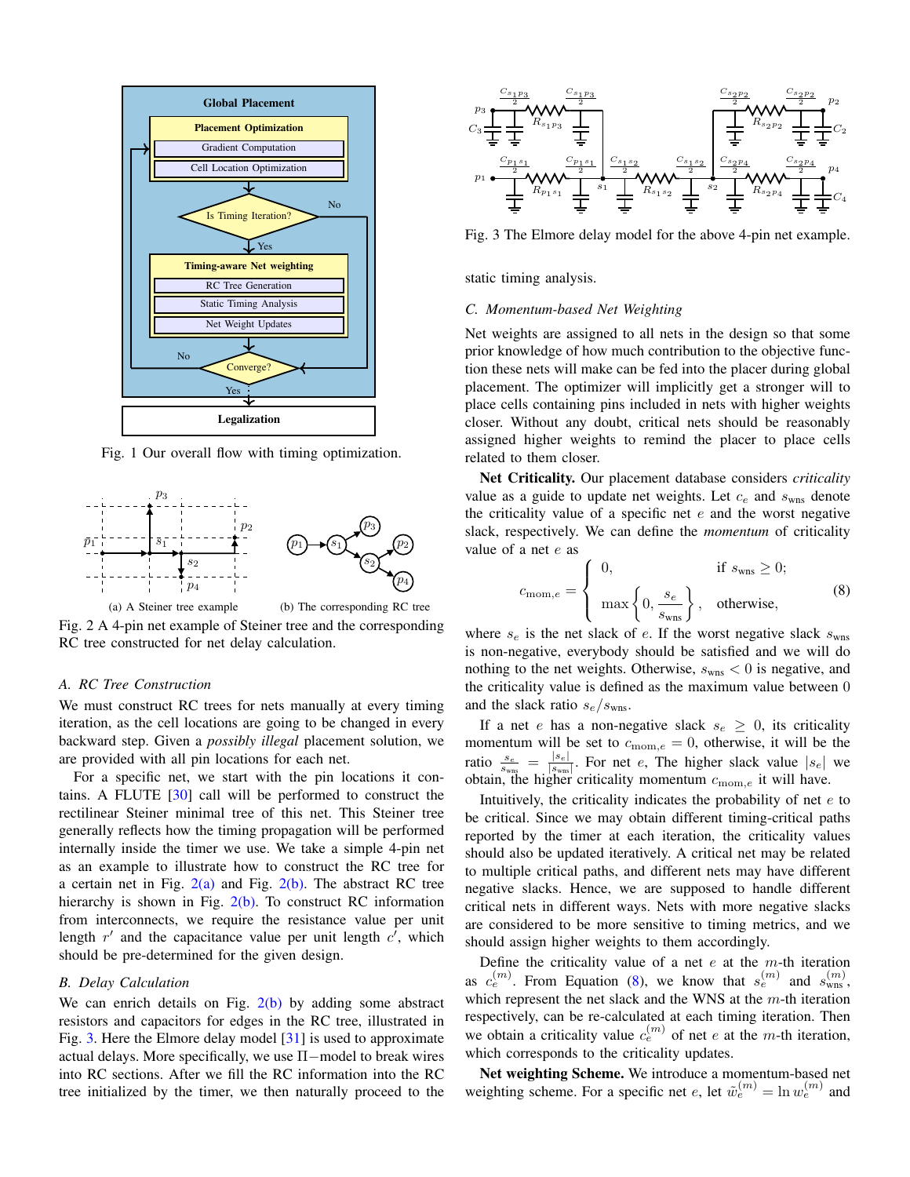<span id="page-2-0"></span>

Fig. 1 Our overall flow with timing optimization.

<span id="page-2-1"></span>

(a) A Steiner tree example (b) The corresponding RC tree Fig. 2 A 4-pin net example of Steiner tree and the corresponding RC tree constructed for net delay calculation.

## *A. RC Tree Construction*

We must construct RC trees for nets manually at every timing iteration, as the cell locations are going to be changed in every backward step. Given a *possibly illegal* placement solution, we are provided with all pin locations for each net.

For a specific net, we start with the pin locations it contains. A FLUTE [\[30\]](#page-5-21) call will be performed to construct the rectilinear Steiner minimal tree of this net. This Steiner tree generally reflects how the timing propagation will be performed internally inside the timer we use. We take a simple 4-pin net as an example to illustrate how to construct the RC tree for a certain net in Fig.  $2(a)$  and Fig.  $2(b)$ . The abstract RC tree hierarchy is shown in Fig.  $2(b)$ . To construct RC information from interconnects, we require the resistance value per unit length  $r'$  and the capacitance value per unit length  $c'$ , which should be pre-determined for the given design.

## *B. Delay Calculation*

We can enrich details on Fig.  $2(b)$  by adding some abstract resistors and capacitors for edges in the RC tree, illustrated in Fig. [3.](#page-2-3) Here the Elmore delay model [\[31\]](#page-5-22) is used to approximate actual delays. More specifically, we use  $\Pi$ -model to break wires into RC sections. After we fill the RC information into the RC tree initialized by the timer, we then naturally proceed to the

<span id="page-2-3"></span>

Fig. 3 The Elmore delay model for the above 4-pin net example.

static timing analysis.

## *C. Momentum-based Net Weighting*

Net weights are assigned to all nets in the design so that some prior knowledge of how much contribution to the objective function these nets will make can be fed into the placer during global placement. The optimizer will implicitly get a stronger will to place cells containing pins included in nets with higher weights closer. Without any doubt, critical nets should be reasonably assigned higher weights to remind the placer to place cells related to them closer.

Net Criticality. Our placement database considers *criticality* value as a guide to update net weights. Let  $c_e$  and  $s_{\text{wns}}$  denote the criticality value of a specific net  $e$  and the worst negative slack, respectively. We can define the *momentum* of criticality value of a net e as

<span id="page-2-4"></span>
$$
c_{\text{mom},e} = \begin{cases} 0, & \text{if } s_{\text{wns}} \ge 0; \\ \max\left\{0, \frac{s_e}{s_{\text{wns}}}\right\}, & \text{otherwise,} \end{cases}
$$
 (8)

<span id="page-2-2"></span>where  $s_e$  is the net slack of e. If the worst negative slack  $s_{\rm wns}$ is non-negative, everybody should be satisfied and we will do nothing to the net weights. Otherwise,  $s_{\text{wns}} < 0$  is negative, and the criticality value is defined as the maximum value between 0 and the slack ratio  $s_e/s_{\text{wns}}$ .

If a net e has a non-negative slack  $s_e \geq 0$ , its criticality momentum will be set to  $c_{\text{mom},e} = 0$ , otherwise, it will be the ratio  $\frac{s_e}{s_{\text{wns}}} = \frac{|s_e|}{|s_{\text{wns}}}$  $\frac{|s_e|}{|s_{\text{wns}}|}$ . For net e, The higher slack value  $|s_e|$  we obtain, the higher criticality momentum  $c_{\text{mom},e}$  it will have.

Intuitively, the criticality indicates the probability of net  $e$  to be critical. Since we may obtain different timing-critical paths reported by the timer at each iteration, the criticality values should also be updated iteratively. A critical net may be related to multiple critical paths, and different nets may have different negative slacks. Hence, we are supposed to handle different critical nets in different ways. Nets with more negative slacks are considered to be more sensitive to timing metrics, and we should assign higher weights to them accordingly.

Define the criticality value of a net  $e$  at the  $m$ -th iteration as  $c_e^{(m)}$ . From Equation [\(8\)](#page-2-4), we know that  $s_e^{(m)}$  and  $s_{\text{wns}}^{(m)}$ , which represent the net slack and the WNS at the  $m$ -th iteration respectively, can be re-calculated at each timing iteration. Then we obtain a criticality value  $c_e^{(m)}$  of net e at the m-th iteration, which corresponds to the criticality updates.

Net weighting Scheme. We introduce a momentum-based net weighting scheme. For a specific net e, let  $\tilde{w}_e^{(m)} = \ln w_e^{(m)}$  and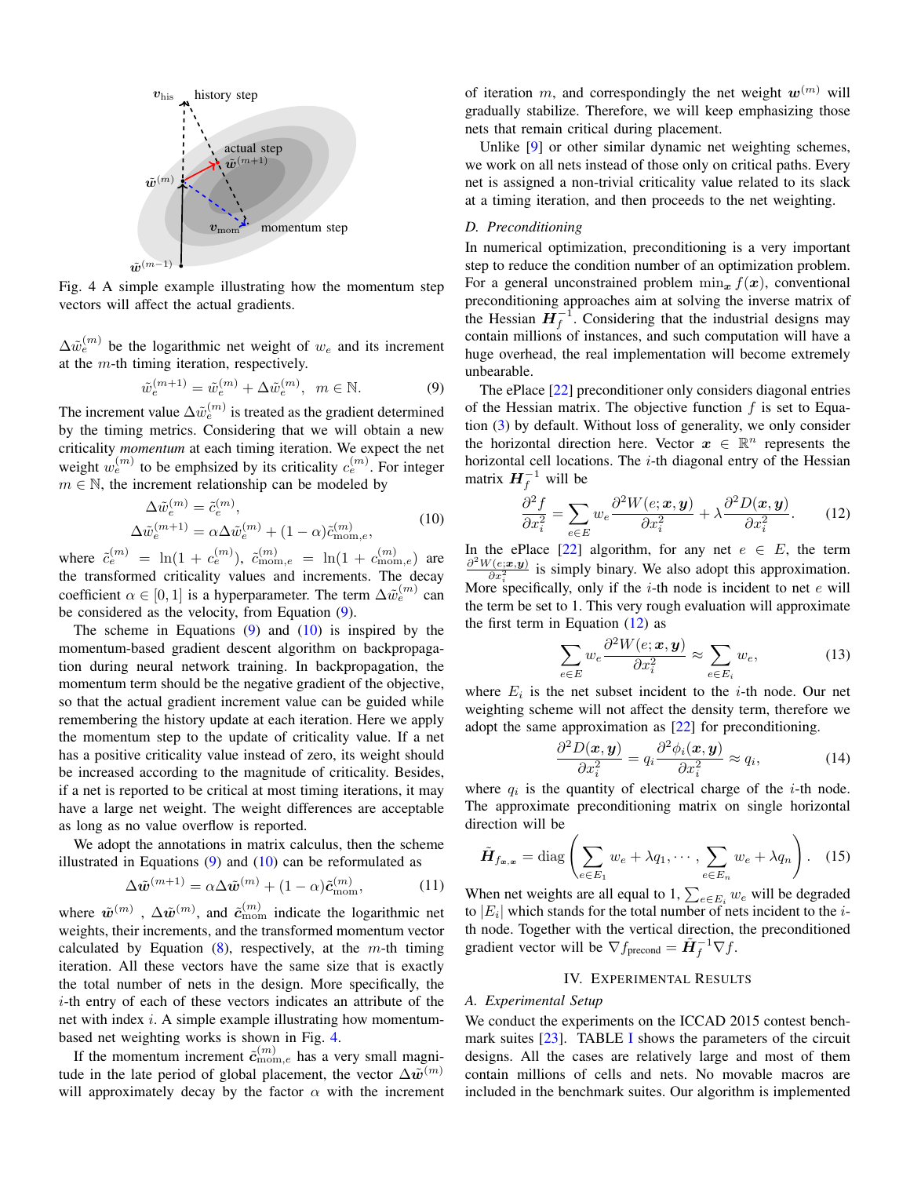<span id="page-3-3"></span>

Fig. 4 A simple example illustrating how the momentum step vectors will affect the actual gradients.

 $\Delta \tilde{w}_e^{(m)}$  be the logarithmic net weight of  $w_e$  and its increment at the  $m$ -th timing iteration, respectively.

<span id="page-3-1"></span>
$$
\tilde{w}_e^{(m+1)} = \tilde{w}_e^{(m)} + \Delta \tilde{w}_e^{(m)}, \ \ m \in \mathbb{N}.
$$

The increment value  $\Delta \tilde{w}_e^{(m)}$  is treated as the gradient determined by the timing metrics. Considering that we will obtain a new criticality *momentum* at each timing iteration. We expect the net weight  $w_e^{(m)}$  to be emphsized by its criticality  $c_e^{(m)}$ . For integer  $m \in \mathbb{N}$ , the increment relationship can be modeled by

<span id="page-3-2"></span>
$$
\Delta \tilde{w}_e^{(m)} = \tilde{c}_e^{(m)},
$$
  
\n
$$
\Delta \tilde{w}_e^{(m+1)} = \alpha \Delta \tilde{w}_e^{(m)} + (1 - \alpha) \tilde{c}_{\text{mom},e}^{(m)},
$$
\n(10)

where  $\tilde{c}_e^{(m)} = \ln(1 + c_e^{(m)})$ ,  $\tilde{c}_{\text{mom},e}^{(m)} = \ln(1 + c_{\text{mom},e}^{(m)})$  are the transformed criticality values and increments. The decay coefficient  $\alpha \in [0,1]$  is a hyperparameter. The term  $\Delta \tilde{w}_{e}^{(m)}$  can be considered as the velocity, from Equation [\(9\)](#page-3-1).

The scheme in Equations  $(9)$  and  $(10)$  is inspired by the momentum-based gradient descent algorithm on backpropagation during neural network training. In backpropagation, the momentum term should be the negative gradient of the objective, so that the actual gradient increment value can be guided while remembering the history update at each iteration. Here we apply the momentum step to the update of criticality value. If a net has a positive criticality value instead of zero, its weight should be increased according to the magnitude of criticality. Besides, if a net is reported to be critical at most timing iterations, it may have a large net weight. The weight differences are acceptable as long as no value overflow is reported.

We adopt the annotations in matrix calculus, then the scheme illustrated in Equations  $(9)$  and  $(10)$  can be reformulated as

<span id="page-3-5"></span>
$$
\Delta \tilde{\boldsymbol{w}}^{(m+1)} = \alpha \Delta \tilde{\boldsymbol{w}}^{(m)} + (1 - \alpha) \tilde{\boldsymbol{c}}_{\text{mom}}^{(m)},
$$
(11)

where  $\tilde{w}^{(m)}$ ,  $\Delta \tilde{w}^{(m)}$ , and  $\tilde{c}_{\text{mom}}^{(m)}$  indicate the logarithmic net weights, their increments, and the transformed momentum vector calculated by Equation  $(8)$ , respectively, at the m-th timing iteration. All these vectors have the same size that is exactly the total number of nets in the design. More specifically, the i-th entry of each of these vectors indicates an attribute of the net with index  $i$ . A simple example illustrating how momentumbased net weighting works is shown in Fig. [4.](#page-3-3)

If the momentum increment  $\tilde{c}_{\text{mom},e}^{(m)}$  has a very small magnitude in the late period of global placement, the vector  $\Delta \tilde{w}^{(m)}$ will approximately decay by the factor  $\alpha$  with the increment of iteration m, and correspondingly the net weight  $w^{(m)}$  will gradually stabilize. Therefore, we will keep emphasizing those nets that remain critical during placement.

Unlike [\[9\]](#page-5-5) or other similar dynamic net weighting schemes, we work on all nets instead of those only on critical paths. Every net is assigned a non-trivial criticality value related to its slack at a timing iteration, and then proceeds to the net weighting.

# *D. Preconditioning*

In numerical optimization, preconditioning is a very important step to reduce the condition number of an optimization problem. For a general unconstrained problem  $\min_{x} f(x)$ , conventional preconditioning approaches aim at solving the inverse matrix of the Hessian  $H_f^{-1}$ . Considering that the industrial designs may contain millions of instances, and such computation will have a huge overhead, the real implementation will become extremely unbearable.

The ePlace [\[22\]](#page-5-12) preconditioner only considers diagonal entries of the Hessian matrix. The objective function  $f$  is set to Equation [\(3\)](#page-1-1) by default. Without loss of generality, we only consider the horizontal direction here. Vector  $x \in \mathbb{R}^n$  represents the horizontal cell locations. The  $i$ -th diagonal entry of the Hessian matrix  $H_f^{-1}$  will be

<span id="page-3-4"></span>
$$
\frac{\partial^2 f}{\partial x_i^2} = \sum_{e \in E} w_e \frac{\partial^2 W(e; \mathbf{x}, \mathbf{y})}{\partial x_i^2} + \lambda \frac{\partial^2 D(\mathbf{x}, \mathbf{y})}{\partial x_i^2}.
$$
 (12)

In the ePlace [\[22\]](#page-5-12) algorithm, for any net  $e \in E$ , the term  $\partial^2 W(e;\boldsymbol{x},\boldsymbol{y})$  $\frac{\partial \langle e, \mathbf{x}, \mathbf{y} \rangle}{\partial x_i^2}$  is simply binary. We also adopt this approximation. More specifically, only if the *i*-th node is incident to net *e* will the term be set to 1. This very rough evaluation will approximate the first term in Equation  $(12)$  as

$$
\sum_{e \in E} w_e \frac{\partial^2 W(e; \mathbf{x}, \mathbf{y})}{\partial x_i^2} \approx \sum_{e \in E_i} w_e,
$$
 (13)

where  $E_i$  is the net subset incident to the *i*-th node. Our net weighting scheme will not affect the density term, therefore we adopt the same approximation as [\[22\]](#page-5-12) for preconditioning.

$$
\frac{\partial^2 D(\boldsymbol{x}, \boldsymbol{y})}{\partial x_i^2} = q_i \frac{\partial^2 \phi_i(\boldsymbol{x}, \boldsymbol{y})}{\partial x_i^2} \approx q_i,
$$
 (14)

where  $q_i$  is the quantity of electrical charge of the *i*-th node. The approximate preconditioning matrix on single horizontal direction will be

$$
\tilde{\boldsymbol{H}}_{f_{\boldsymbol{x},\boldsymbol{x}}} = \text{diag}\left(\sum_{e \in E_1} w_e + \lambda q_1, \cdots, \sum_{e \in E_n} w_e + \lambda q_n\right). \quad (15)
$$

When net weights are all equal to 1,  $\sum_{e \in E_i} w_e$  will be degraded to  $|E_i|$  which stands for the total number of nets incident to the *i*th node. Together with the vertical direction, the preconditioned gradient vector will be  $\nabla f_{\text{precond}} = \tilde{\mathbf{H}}_f^{-1} \nabla f$ .

## IV. EXPERIMENTAL RESULTS

#### <span id="page-3-0"></span>*A. Experimental Setup*

We conduct the experiments on the ICCAD 2015 contest benchmark suites  $[23]$ . TABLE [I](#page-4-0) shows the parameters of the circuit designs. All the cases are relatively large and most of them contain millions of cells and nets. No movable macros are included in the benchmark suites. Our algorithm is implemented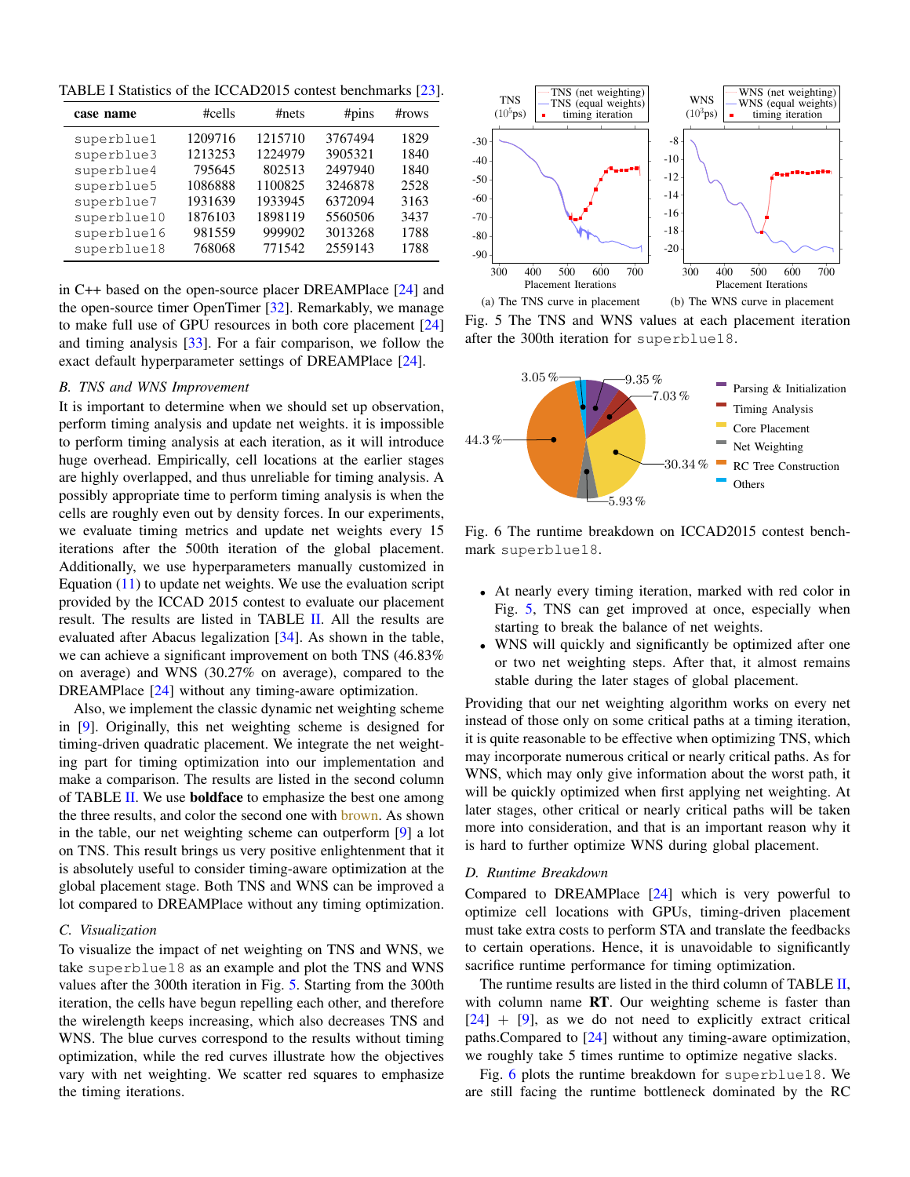<span id="page-4-0"></span>TABLE I Statistics of the ICCAD2015 contest benchmarks [\[23\]](#page-5-13).

| case name                                                                                        | #cells                                                                  | #nets                                                                   | #pins                                                                     | $\#rows$                                             |  |
|--------------------------------------------------------------------------------------------------|-------------------------------------------------------------------------|-------------------------------------------------------------------------|---------------------------------------------------------------------------|------------------------------------------------------|--|
| superblue1<br>superblue3<br>superblue4<br>superblue5<br>superblue7<br>superblue10<br>superblue16 | 1209716<br>1213253<br>795645<br>1086888<br>1931639<br>1876103<br>981559 | 1215710<br>1224979<br>802513<br>1100825<br>1933945<br>1898119<br>999902 | 3767494<br>3905321<br>2497940<br>3246878<br>6372094<br>5560506<br>3013268 | 1829<br>1840<br>1840<br>2528<br>3163<br>3437<br>1788 |  |
| superblue18                                                                                      | 768068                                                                  | 771542                                                                  | 2559143                                                                   | 1788                                                 |  |

in C++ based on the open-source placer DREAMPlace [\[24\]](#page-5-14) and the open-source timer OpenTimer [\[32\]](#page-5-23). Remarkably, we manage to make full use of GPU resources in both core placement [\[24\]](#page-5-14) and timing analysis [\[33\]](#page-5-24). For a fair comparison, we follow the exact default hyperparameter settings of DREAMPlace [\[24\]](#page-5-14).

#### *B. TNS and WNS Improvement*

It is important to determine when we should set up observation, perform timing analysis and update net weights. it is impossible to perform timing analysis at each iteration, as it will introduce huge overhead. Empirically, cell locations at the earlier stages are highly overlapped, and thus unreliable for timing analysis. A possibly appropriate time to perform timing analysis is when the cells are roughly even out by density forces. In our experiments, we evaluate timing metrics and update net weights every 15 iterations after the 500th iteration of the global placement. Additionally, we use hyperparameters manually customized in Equation  $(11)$  to update net weights. We use the evaluation script provided by the ICCAD 2015 contest to evaluate our placement result. The results are listed in TABLE [II.](#page-5-25) All the results are evaluated after Abacus legalization [\[34\]](#page-5-26). As shown in the table, we can achieve a significant improvement on both TNS (46.83% on average) and WNS (30.27% on average), compared to the DREAMPlace [\[24\]](#page-5-14) without any timing-aware optimization.

Also, we implement the classic dynamic net weighting scheme in [\[9\]](#page-5-5). Originally, this net weighting scheme is designed for timing-driven quadratic placement. We integrate the net weighting part for timing optimization into our implementation and make a comparison. The results are listed in the second column of TABLE [II.](#page-5-25) We use **boldface** to emphasize the best one among the three results, and color the second one with brown. As shown in the table, our net weighting scheme can outperform [\[9\]](#page-5-5) a lot on TNS. This result brings us very positive enlightenment that it is absolutely useful to consider timing-aware optimization at the global placement stage. Both TNS and WNS can be improved a lot compared to DREAMPlace without any timing optimization.

# *C. Visualization*

To visualize the impact of net weighting on TNS and WNS, we take superblue18 as an example and plot the TNS and WNS values after the 300th iteration in Fig. [5.](#page-4-1) Starting from the 300th iteration, the cells have begun repelling each other, and therefore the wirelength keeps increasing, which also decreases TNS and WNS. The blue curves correspond to the results without timing optimization, while the red curves illustrate how the objectives vary with net weighting. We scatter red squares to emphasize the timing iterations.

<span id="page-4-1"></span>

Fig. 5 The TNS and WNS values at each placement iteration after the 300th iteration for superblue18.

<span id="page-4-2"></span>

Fig. 6 The runtime breakdown on ICCAD2015 contest benchmark superblue18.

- At nearly every timing iteration, marked with red color in Fig. [5,](#page-4-1) TNS can get improved at once, especially when starting to break the balance of net weights.
- WNS will quickly and significantly be optimized after one or two net weighting steps. After that, it almost remains stable during the later stages of global placement.

Providing that our net weighting algorithm works on every net instead of those only on some critical paths at a timing iteration, it is quite reasonable to be effective when optimizing TNS, which may incorporate numerous critical or nearly critical paths. As for WNS, which may only give information about the worst path, it will be quickly optimized when first applying net weighting. At later stages, other critical or nearly critical paths will be taken more into consideration, and that is an important reason why it is hard to further optimize WNS during global placement.

## *D. Runtime Breakdown*

Compared to DREAMPlace [\[24\]](#page-5-14) which is very powerful to optimize cell locations with GPUs, timing-driven placement must take extra costs to perform STA and translate the feedbacks to certain operations. Hence, it is unavoidable to significantly sacrifice runtime performance for timing optimization.

The runtime results are listed in the third column of TABLE [II,](#page-5-25) with column name RT. Our weighting scheme is faster than  $[24]$  +  $[9]$ , as we do not need to explicitly extract critical paths.Compared to [\[24\]](#page-5-14) without any timing-aware optimization, we roughly take 5 times runtime to optimize negative slacks.

Fig. [6](#page-4-2) plots the runtime breakdown for superblue18. We are still facing the runtime bottleneck dominated by the RC